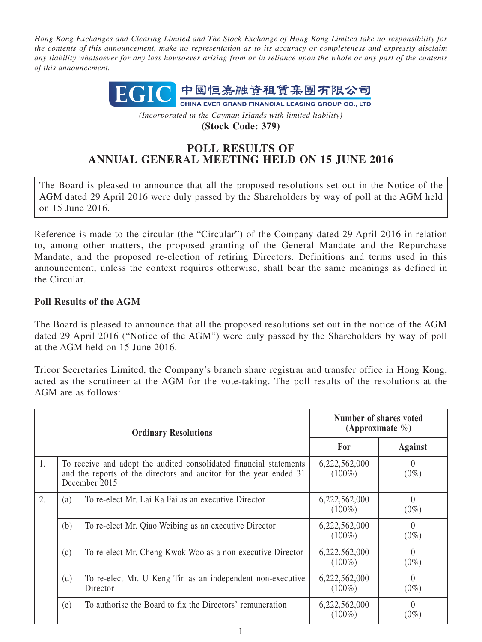*Hong Kong Exchanges and Clearing Limited and The Stock Exchange of Hong Kong Limited take no responsibility for the contents of this announcement, make no representation as to its accuracy or completeness and expressly disclaim any liability whatsoever for any loss howsoever arising from or in reliance upon the whole or any part of the contents of this announcement.*



*(Incorporated in the Cayman Islands with limited liability)* **(Stock Code: 379)**

## **POLL RESULTS OF ANNUAL GENERAL MEETING HELD ON 15 JUNE 2016**

The Board is pleased to announce that all the proposed resolutions set out in the Notice of the AGM dated 29 April 2016 were duly passed by the Shareholders by way of poll at the AGM held on 15 June 2016.

Reference is made to the circular (the "Circular") of the Company dated 29 April 2016 in relation to, among other matters, the proposed granting of the General Mandate and the Repurchase Mandate, and the proposed re-election of retiring Directors. Definitions and terms used in this announcement, unless the context requires otherwise, shall bear the same meanings as defined in the Circular.

## **Poll Results of the AGM**

The Board is pleased to announce that all the proposed resolutions set out in the notice of the AGM dated 29 April 2016 ("Notice of the AGM") were duly passed by the Shareholders by way of poll at the AGM held on 15 June 2016.

Tricor Secretaries Limited, the Company's branch share registrar and transfer office in Hong Kong, acted as the scrutineer at the AGM for the vote-taking. The poll results of the resolutions at the AGM are as follows:

| <b>Ordinary Resolutions</b> |     |                                                                                                                                                           | Number of shares voted<br>(Approximate $\%$ ) |                     |
|-----------------------------|-----|-----------------------------------------------------------------------------------------------------------------------------------------------------------|-----------------------------------------------|---------------------|
|                             |     |                                                                                                                                                           | <b>For</b>                                    | <b>Against</b>      |
| 1.                          |     | To receive and adopt the audited consolidated financial statements<br>and the reports of the directors and auditor for the year ended 31<br>December 2015 | 6,222,562,000<br>$(100\%)$                    | $\theta$<br>$(0\%)$ |
| 2.                          | (a) | To re-elect Mr. Lai Ka Fai as an executive Director                                                                                                       | 6,222,562,000<br>$(100\%)$                    | $\theta$<br>$(0\%)$ |
|                             | (b) | To re-elect Mr. Qiao Weibing as an executive Director                                                                                                     | 6,222,562,000<br>$(100\%)$                    | $\theta$<br>$(0\%)$ |
|                             | (c) | To re-elect Mr. Cheng Kwok Woo as a non-executive Director                                                                                                | 6,222,562,000<br>$(100\%)$                    | $\theta$<br>$(0\%)$ |
|                             | (d) | To re-elect Mr. U Keng Tin as an independent non-executive<br>Director                                                                                    | 6,222,562,000<br>$(100\%)$                    | $\theta$<br>$(0\%)$ |
|                             | (e) | To authorise the Board to fix the Directors' remuneration                                                                                                 | 6,222,562,000<br>$(100\%)$                    | $\Omega$<br>$(0\%)$ |